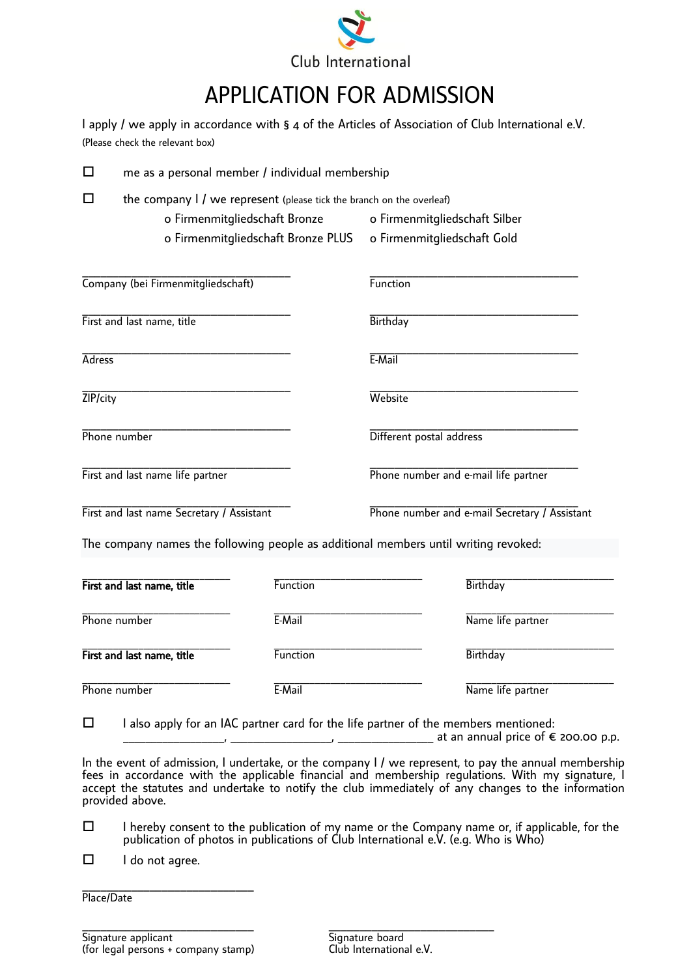

## [APPLICATION FOR ADMISSION](https://dict.leo.org/englisch-deutsch/application)

| I apply / we apply in accordance with $\S$ 4 of the Articles of Association of Club International e.V. |  |
|--------------------------------------------------------------------------------------------------------|--|
| (Please check the relevant box)                                                                        |  |

| $\Box$                           | me as a personal member / individual membership                                     |          |                                               |                   |  |
|----------------------------------|-------------------------------------------------------------------------------------|----------|-----------------------------------------------|-------------------|--|
| $\Box$                           | the company I / we represent (please tick the branch on the overleaf)               |          |                                               |                   |  |
|                                  | o Firmenmitgliedschaft Bronze                                                       |          | o Firmenmitgliedschaft Silber                 |                   |  |
|                                  | o Firmenmitgliedschaft Bronze PLUS                                                  |          | o Firmenmitgliedschaft Gold                   |                   |  |
|                                  | Company (bei Firmenmitgliedschaft)                                                  |          | Function                                      |                   |  |
|                                  | First and last name, title                                                          |          | <b>Birthday</b>                               |                   |  |
| Adress                           |                                                                                     |          | E-Mail                                        |                   |  |
| ZIP/city                         |                                                                                     |          | Website                                       |                   |  |
|                                  | Phone number                                                                        |          | Different postal address                      |                   |  |
| First and last name life partner |                                                                                     |          | Phone number and e-mail life partner          |                   |  |
|                                  | First and last name Secretary / Assistant                                           |          | Phone number and e-mail Secretary / Assistant |                   |  |
|                                  | The company names the following people as additional members until writing revoked: |          |                                               |                   |  |
|                                  | First and last name, title                                                          | Function |                                               | <b>Birthday</b>   |  |
|                                  | Phone number                                                                        | E-Mail   |                                               | Name life partner |  |
|                                  | First and last name, title                                                          | Function |                                               | <b>Birthday</b>   |  |

Phone number

\_\_\_\_\_\_\_\_\_\_\_\_\_\_\_\_\_\_\_\_\_\_\_\_\_\_\_\_\_

 $\Box$  I also apply for an IAC partner card for the life partner of the members mentioned:

E-Mail

\_\_\_\_\_\_\_\_\_\_\_\_\_\_\_\_\_\_\_\_\_\_\_\_\_\_\_\_\_

 $\frac{1}{\sqrt{2}}$  at an annual price of  $\epsilon$  200.00 p.p.

\_\_\_\_\_\_\_\_\_\_\_\_\_\_\_\_\_\_\_\_\_\_\_\_\_\_\_\_\_

Name life partner

In the event of admission, I undertake, or the company I / we represent, to pay the annual membership fees in accordance with the applicable financial and membership regulations. With my signature, I accept the statutes and undertake to notify the club immediately of any changes to the information provided above.

- $\Box$  I hereby consent to the publication of my name or the Company name or, if applicable, for the publication of photos in publications of Club International e.V. (e.g. Who is Who)
- $\Box$  I do not agree.

\_\_\_\_\_\_\_\_\_\_\_\_\_\_\_\_\_\_\_\_\_\_\_\_\_\_\_\_ Place/Date